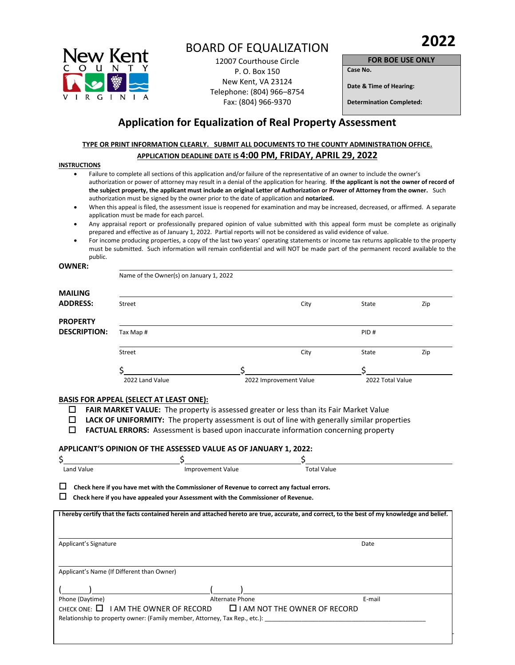

# BOARD OF EQUALIZATION

12007 Courthouse Circle P. O. Box 150 New Kent, VA 23124 Telephone: (804) 966–8754 Fax: (804) 966-9370

**FOR BOE USE ONLY Case No.** 

**Date & Time of Hearing:** 

**Determination Completed:** 

## **Application for Equalization of Real Property Assessment**

## **TYPE OR PRINT INFORMATION CLEARLY. SUBMIT ALL DOCUMENTS TO THE COUNTY ADMINISTRATION OFFICE. APPLICATION DEADLINE DATE IS 4:00 PM, FRIDAY, APRIL 29, 2022**

#### **INSTRUCTIONS**

- Failure to complete all sections of this application and/or failure of the representative of an owner to include the owner's authorization or power of attorney may result in a denial of the application for hearing. **If the applicant is not the owner of record of the subject property, the applicant must include an original Letter of Authorization or Power of Attorney from the owner.** Such authorization must be signed by the owner prior to the date of application and **notarized.**
- When this appeal is filed, the assessment issue is reopened for examination and may be increased, decreased, or affirmed. A separate application must be made for each parcel.
- Any appraisal report or professionally prepared opinion of value submitted with this appeal form must be complete as originally prepared and effective as of January 1, 2022. Partial reports will not be considered as valid evidence of value.
- For income producing properties, a copy of the last two years' operating statements or income tax returns applicable to the property must be submitted. Such information will remain confidential and will NOT be made part of the permanent record available to the public.

#### **OWNER:**

Name of the Owner(s) on January 1, 2022

| <b>MAILING</b>      |                 |                        |      |                  |     |
|---------------------|-----------------|------------------------|------|------------------|-----|
| <b>ADDRESS:</b>     | Street          |                        | City | State            | Zip |
| <b>PROPERTY</b>     |                 |                        |      |                  |     |
| <b>DESCRIPTION:</b> | Tax Map #       |                        |      | PID#             |     |
|                     | Street          |                        | City | State            | Zip |
|                     |                 |                        |      |                  |     |
|                     | 2022 Land Value | 2022 Improvement Value |      | 2022 Total Value |     |

#### **BASIS FOR APPEAL (SELECT AT LEAST ONE):**

- **FAIR MARKET VALUE:** The property is assessed greater or less than its Fair Market Value
- **LACK OF UNIFORMITY:** The property assessment is out of line with generally similar properties
- **FACTUAL ERRORS:** Assessment is based upon inaccurate information concerning property

#### **APPLICANT'S OPINION OF THE ASSESSED VALUE AS OF JANUARY 1, 2022:**

| Land Value                                 | <b>Improvement Value</b>                                                                   | <b>Total Value</b>                                                                                                                            |
|--------------------------------------------|--------------------------------------------------------------------------------------------|-----------------------------------------------------------------------------------------------------------------------------------------------|
|                                            | Check here if you have met with the Commissioner of Revenue to correct any factual errors. |                                                                                                                                               |
|                                            |                                                                                            |                                                                                                                                               |
|                                            | Check here if you have appealed your Assessment with the Commissioner of Revenue.          |                                                                                                                                               |
|                                            |                                                                                            | I hereby certify that the facts contained herein and attached hereto are true, accurate, and correct, to the best of my knowledge and belief. |
|                                            |                                                                                            |                                                                                                                                               |
|                                            |                                                                                            |                                                                                                                                               |
|                                            |                                                                                            | Date                                                                                                                                          |
| Applicant's Signature                      |                                                                                            |                                                                                                                                               |
|                                            |                                                                                            |                                                                                                                                               |
|                                            |                                                                                            |                                                                                                                                               |
| Applicant's Name (If Different than Owner) |                                                                                            |                                                                                                                                               |
|                                            |                                                                                            |                                                                                                                                               |
| Phone (Daytime)                            | Alternate Phone                                                                            | E-mail                                                                                                                                        |
|                                            |                                                                                            |                                                                                                                                               |
| CHECK ONE: $\Box$                          | I AM THE OWNER OF RECORD                                                                   | $\Box$ I AM NOT THE OWNER OF RECORD                                                                                                           |
|                                            | Relationship to property owner: (Family member, Attorney, Tax Rep., etc.):                 |                                                                                                                                               |
|                                            |                                                                                            |                                                                                                                                               |
|                                            |                                                                                            |                                                                                                                                               |